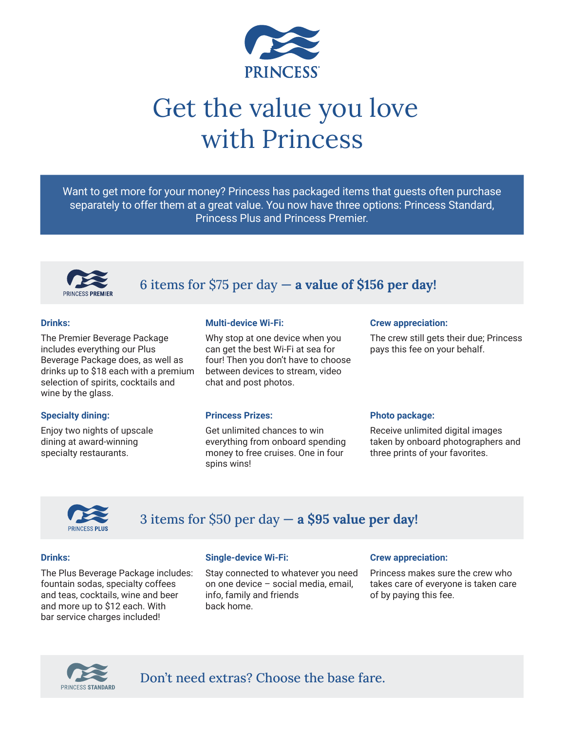

# Get the value you love with Princess

Want to get more for your money? Princess has packaged items that guests often purchase separately to offer them at a great value. You now have three options: Princess Standard, Princess Plus and Princess Premier.



## 6 items for \$75 per day — **a value of \$156 per day!**

#### **Drinks:**

The Premier Beverage Package includes everything our Plus Beverage Package does, as well as drinks up to \$18 each with a premium selection of spirits, cocktails and wine by the glass.

#### **Specialty dining:**

Enjoy two nights of upscale dining at award-winning specialty restaurants.

#### **Multi-device Wi-Fi:**

Why stop at one device when you can get the best Wi-Fi at sea for four! Then you don't have to choose between devices to stream, video chat and post photos.

#### **Princess Prizes:**

Get unlimited chances to win everything from onboard spending money to free cruises. One in four spins wins!

#### **Crew appreciation:**

The crew still gets their due; Princess pays this fee on your behalf.

#### **Photo package:**

Receive unlimited digital images taken by onboard photographers and three prints of your favorites.



## 3 items for \$50 per day — **a \$95 value per day!**

#### **Drinks:**

The Plus Beverage Package includes: fountain sodas, specialty coffees and teas, cocktails, wine and beer and more up to \$12 each. With bar service charges included!

#### **Single-device Wi-Fi:**

Stay connected to whatever you need on one device – social media, email, info, family and friends back home.

#### **Crew appreciation:**

Princess makes sure the crew who takes care of everyone is taken care of by paying this fee.